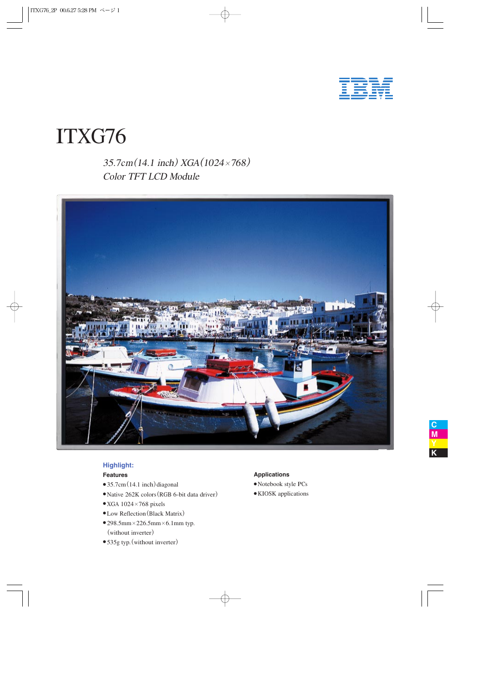

# ITXG76

35.7cm(14.<sup>1</sup> <sup>i</sup>nch)XGA(1024×768) Colo<sup>r</sup> TFT LCD Modul<sup>e</sup>



## **Highlight:**

## **Features**

- $\bullet$  35.7cm (14.1 inch) diagonal
- Native 262K colors (RGB 6-bit data driver)
- $\bullet$  XGA 1024×768 pixels
- Low Reflection(Black Matrix)
- $•298.5$ mm $×226.5$ mm $×6.1$ mm typ. (without inverter)
- 535g typ. (without inverter)

### **Applications**

- Notebook styl<sup>e</sup> PCs
- KIOSK applications